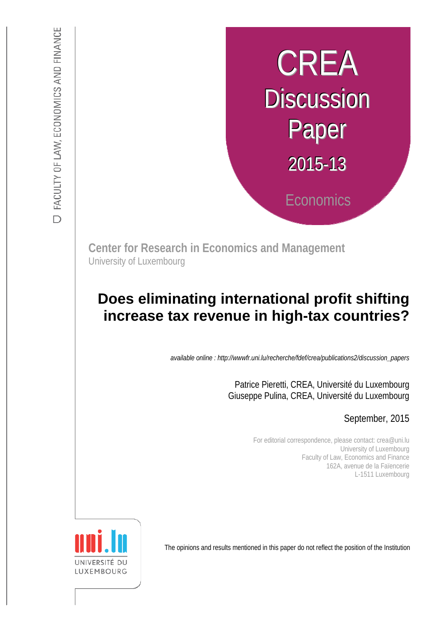# **CREA Discussion** Paper 2015-13 **Economics**

**Center for Research in Economics and Management** University of Luxembourg

# :s *def.uni.lu/index.php/fdef\_FR/economie/crea*  **Does eliminating international profit shifting increase tax revenue in high-tax countries?**

*available online : http://wwwfr.uni.lu/recherche/fdef/crea/publications2/discussion\_papers* 

Patrice Pieretti, CREA, Université du Luxembourg Giuseppe Pulina, CREA, Université du Luxembourg

# September, 2015

For editorial correspondence, please contact: crea@uni.lu University of Luxembourg Faculty of Law, Economics and Finance 162A, avenue de la Faïencerie L-1511 Luxembourg

UNIVERSITÉ<br>LUXEMBOU

The opinions and results mentioned in this paper do not reflect the position of the Institution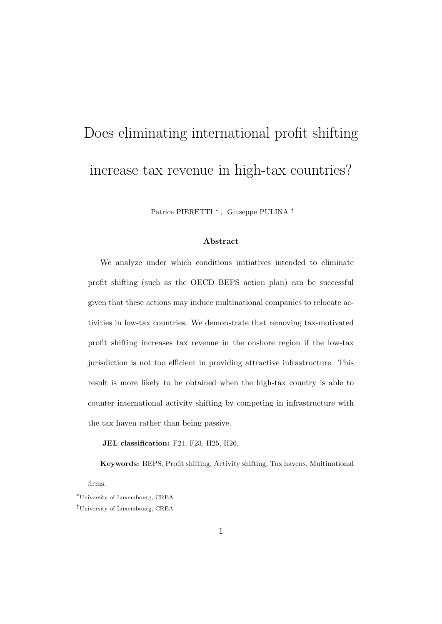# Does eliminating international profit shifting increase tax revenue in high-tax countries?

Patrice PIERETTI <sup>∗</sup> , Giuseppe PULINA †

#### Abstract

We analyze under which conditions initiatives intended to eliminate profit shifting (such as the OECD BEPS action plan) can be successful given that these actions may induce multinational companies to relocate activities in low-tax countries. We demonstrate that removing tax-motivated profit shifting increases tax revenue in the onshore region if the low-tax jurisdiction is not too efficient in providing attractive infrastructure. This result is more likely to be obtained when the high-tax country is able to counter international activity shifting by competing in infrastructure with the tax haven rather than being passive.

JEL classification: F21, F23, H25, H26.

Keywords: BEPS, Profit shifting, Activity shifting, Tax havens, Multinational

firms.

<sup>∗</sup>University of Luxembourg, CREA

<sup>†</sup>University of Luxembourg, CREA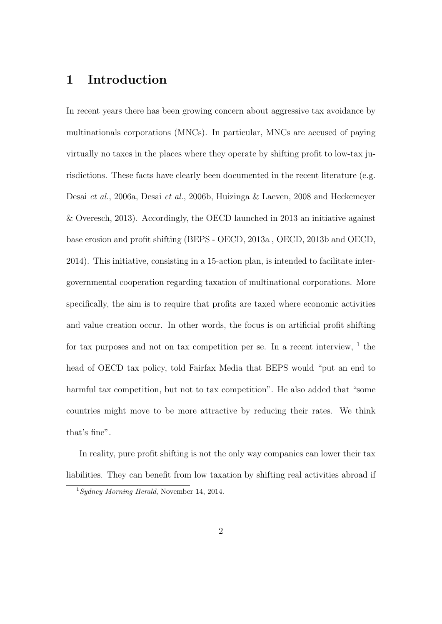# 1 Introduction

In recent years there has been growing concern about aggressive tax avoidance by multinationals corporations (MNCs). In particular, MNCs are accused of paying virtually no taxes in the places where they operate by shifting profit to low-tax jurisdictions. These facts have clearly been documented in the recent literature (e.g. Desai et al., 2006a, Desai et al., 2006b, Huizinga & Laeven, 2008 and Heckemeyer & Overesch, 2013). Accordingly, the OECD launched in 2013 an initiative against base erosion and profit shifting (BEPS - OECD, 2013a , OECD, 2013b and OECD, 2014). This initiative, consisting in a 15-action plan, is intended to facilitate intergovernmental cooperation regarding taxation of multinational corporations. More specifically, the aim is to require that profits are taxed where economic activities and value creation occur. In other words, the focus is on artificial profit shifting for tax purposes and not on tax competition per se. In a recent interview,  $1$  the head of OECD tax policy, told Fairfax Media that BEPS would "put an end to harmful tax competition, but not to tax competition". He also added that "some countries might move to be more attractive by reducing their rates. We think that's fine".

In reality, pure profit shifting is not the only way companies can lower their tax liabilities. They can benefit from low taxation by shifting real activities abroad if

 $1$  Sydney Morning Herald, November 14, 2014.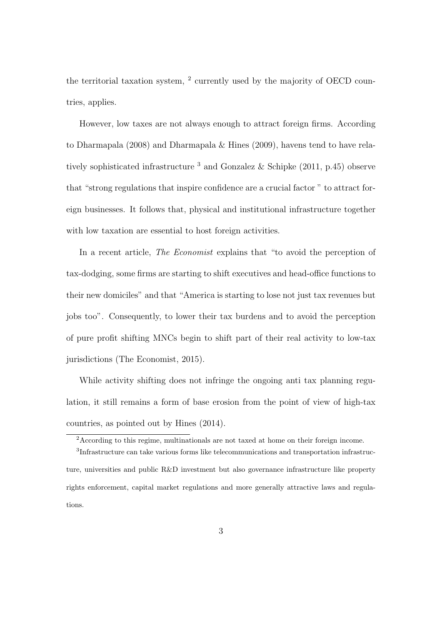the territorial taxation system, <sup>2</sup> currently used by the majority of OECD countries, applies.

However, low taxes are not always enough to attract foreign firms. According to Dharmapala (2008) and Dharmapala & Hines (2009), havens tend to have relatively sophisticated infrastructure  $3$  and Gonzalez & Schipke (2011, p.45) observe that "strong regulations that inspire confidence are a crucial factor " to attract foreign businesses. It follows that, physical and institutional infrastructure together with low taxation are essential to host foreign activities.

In a recent article, *The Economist* explains that "to avoid the perception of tax-dodging, some firms are starting to shift executives and head-office functions to their new domiciles" and that "America is starting to lose not just tax revenues but jobs too". Consequently, to lower their tax burdens and to avoid the perception of pure profit shifting MNCs begin to shift part of their real activity to low-tax jurisdictions (The Economist, 2015).

While activity shifting does not infringe the ongoing anti tax planning regulation, it still remains a form of base erosion from the point of view of high-tax countries, as pointed out by Hines (2014).

<sup>2</sup>According to this regime, multinationals are not taxed at home on their foreign income.

<sup>3</sup> Infrastructure can take various forms like telecommunications and transportation infrastructure, universities and public R&D investment but also governance infrastructure like property rights enforcement, capital market regulations and more generally attractive laws and regulations.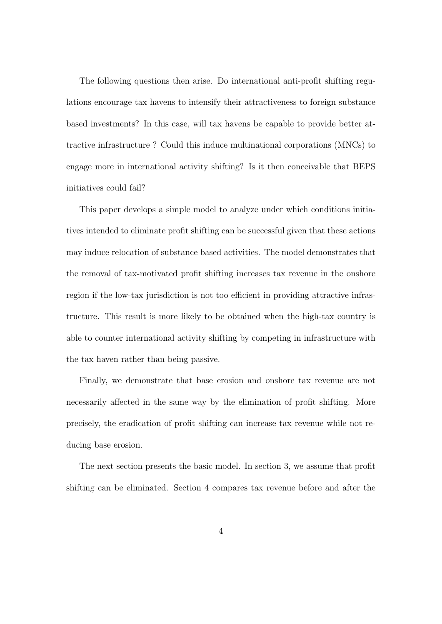The following questions then arise. Do international anti-profit shifting regulations encourage tax havens to intensify their attractiveness to foreign substance based investments? In this case, will tax havens be capable to provide better attractive infrastructure ? Could this induce multinational corporations (MNCs) to engage more in international activity shifting? Is it then conceivable that BEPS initiatives could fail?

This paper develops a simple model to analyze under which conditions initiatives intended to eliminate profit shifting can be successful given that these actions may induce relocation of substance based activities. The model demonstrates that the removal of tax-motivated profit shifting increases tax revenue in the onshore region if the low-tax jurisdiction is not too efficient in providing attractive infrastructure. This result is more likely to be obtained when the high-tax country is able to counter international activity shifting by competing in infrastructure with the tax haven rather than being passive.

Finally, we demonstrate that base erosion and onshore tax revenue are not necessarily affected in the same way by the elimination of profit shifting. More precisely, the eradication of profit shifting can increase tax revenue while not reducing base erosion.

The next section presents the basic model. In section 3, we assume that profit shifting can be eliminated. Section 4 compares tax revenue before and after the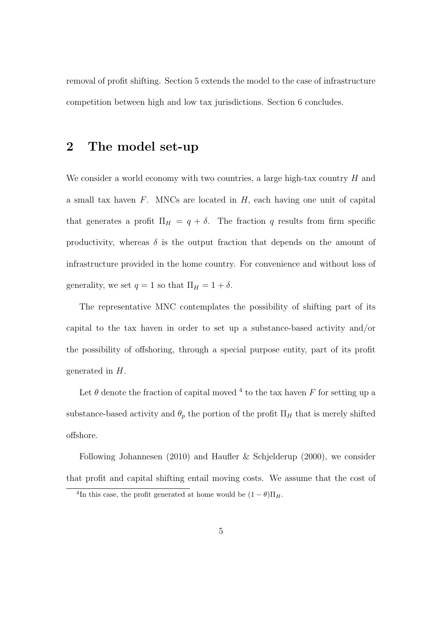removal of profit shifting. Section 5 extends the model to the case of infrastructure competition between high and low tax jurisdictions. Section 6 concludes.

### 2 The model set-up

We consider a world economy with two countries, a large high-tax country  $H$  and a small tax haven  $F$ . MNCs are located in  $H$ , each having one unit of capital that generates a profit  $\Pi_H = q + \delta$ . The fraction q results from firm specific productivity, whereas  $\delta$  is the output fraction that depends on the amount of infrastructure provided in the home country. For convenience and without loss of generality, we set  $q = 1$  so that  $\Pi_H = 1 + \delta$ .

The representative MNC contemplates the possibility of shifting part of its capital to the tax haven in order to set up a substance-based activity and/or the possibility of offshoring, through a special purpose entity, part of its profit generated in H.

Let  $\theta$  denote the fraction of capital moved <sup>4</sup> to the tax haven F for setting up a substance-based activity and  $\theta_p$  the portion of the profit  $\Pi_H$  that is merely shifted offshore.

Following Johannesen (2010) and Haufler & Schjelderup (2000), we consider that profit and capital shifting entail moving costs. We assume that the cost of

<sup>&</sup>lt;sup>4</sup>In this case, the profit generated at home would be  $(1 - \theta)\Pi_H$ .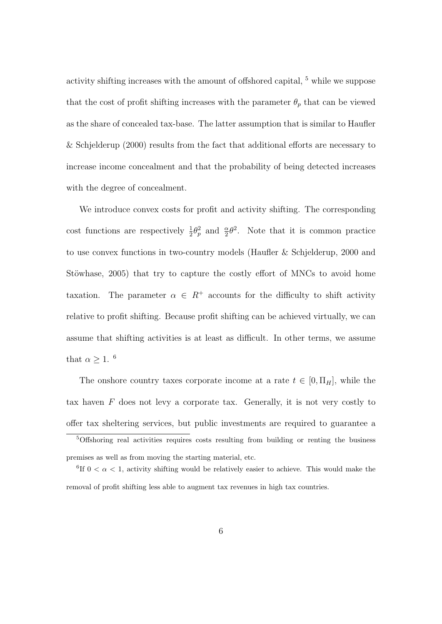activity shifting increases with the amount of offshored capital, <sup>5</sup> while we suppose that the cost of profit shifting increases with the parameter  $\theta_p$  that can be viewed as the share of concealed tax-base. The latter assumption that is similar to Haufler & Schjelderup (2000) results from the fact that additional efforts are necessary to increase income concealment and that the probability of being detected increases with the degree of concealment.

We introduce convex costs for profit and activity shifting. The corresponding cost functions are respectively  $\frac{1}{2}\theta_p^2$  and  $\frac{\alpha}{2}\theta^2$ . Note that it is common practice to use convex functions in two-country models (Haufler & Schjelderup, 2000 and Stöwhase, 2005) that try to capture the costly effort of MNCs to avoid home taxation. The parameter  $\alpha \in R^+$  accounts for the difficulty to shift activity relative to profit shifting. Because profit shifting can be achieved virtually, we can assume that shifting activities is at least as difficult. In other terms, we assume that  $\alpha \geq 1$ . <sup>6</sup>

The onshore country taxes corporate income at a rate  $t \in [0, \Pi_H]$ , while the tax haven  $F$  does not levy a corporate tax. Generally, it is not very costly to offer tax sheltering services, but public investments are required to guarantee a

<sup>5</sup>Offshoring real activities requires costs resulting from building or renting the business premises as well as from moving the starting material, etc.

<sup>&</sup>lt;sup>6</sup>If  $0 < \alpha < 1$ , activity shifting would be relatively easier to achieve. This would make the removal of profit shifting less able to augment tax revenues in high tax countries.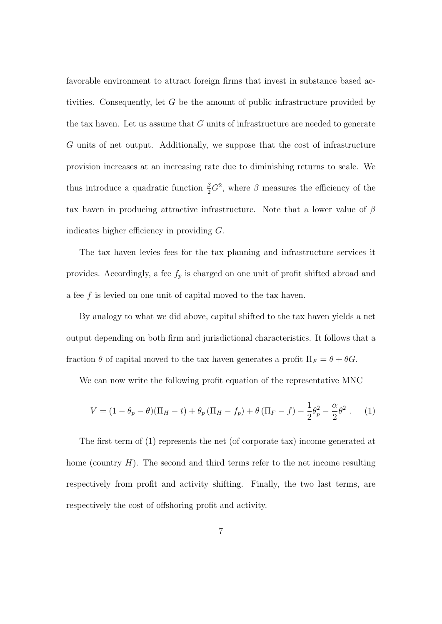favorable environment to attract foreign firms that invest in substance based activities. Consequently, let G be the amount of public infrastructure provided by the tax haven. Let us assume that  $G$  units of infrastructure are needed to generate G units of net output. Additionally, we suppose that the cost of infrastructure provision increases at an increasing rate due to diminishing returns to scale. We thus introduce a quadratic function  $\frac{\beta}{2}G^2$ , where  $\beta$  measures the efficiency of the tax haven in producing attractive infrastructure. Note that a lower value of  $\beta$ indicates higher efficiency in providing G.

The tax haven levies fees for the tax planning and infrastructure services it provides. Accordingly, a fee  $f_p$  is charged on one unit of profit shifted abroad and a fee f is levied on one unit of capital moved to the tax haven.

By analogy to what we did above, capital shifted to the tax haven yields a net output depending on both firm and jurisdictional characteristics. It follows that a fraction  $\theta$  of capital moved to the tax haven generates a profit  $\Pi_F = \theta + \theta G$ .

We can now write the following profit equation of the representative MNC

$$
V = (1 - \theta_p - \theta)(\Pi_H - t) + \theta_p (\Pi_H - f_p) + \theta (\Pi_F - f) - \frac{1}{2} \theta_p^2 - \frac{\alpha}{2} \theta^2.
$$
 (1)

The first term of (1) represents the net (of corporate tax) income generated at home (country  $H$ ). The second and third terms refer to the net income resulting respectively from profit and activity shifting. Finally, the two last terms, are respectively the cost of offshoring profit and activity.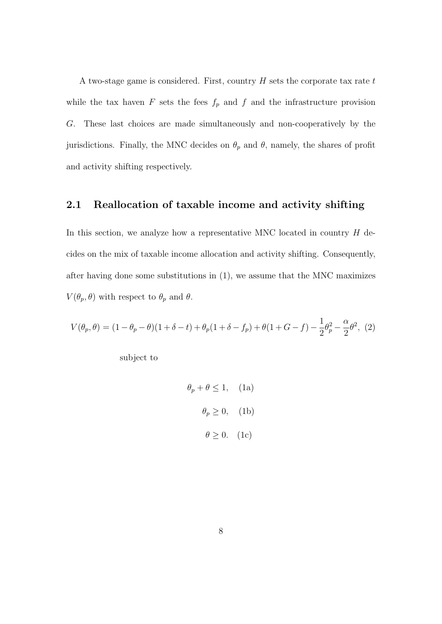A two-stage game is considered. First, country  $H$  sets the corporate tax rate  $t$ while the tax haven  $F$  sets the fees  $f_p$  and  $f$  and the infrastructure provision G. These last choices are made simultaneously and non-cooperatively by the jurisdictions. Finally, the MNC decides on  $\theta_p$  and  $\theta$ , namely, the shares of profit and activity shifting respectively.

#### 2.1 Reallocation of taxable income and activity shifting

In this section, we analyze how a representative MNC located in country  $H$  decides on the mix of taxable income allocation and activity shifting. Consequently, after having done some substitutions in (1), we assume that the MNC maximizes  $V(\theta_p, \theta)$  with respect to  $\theta_p$  and  $\theta$ .

$$
V(\theta_p, \theta) = (1 - \theta_p - \theta)(1 + \delta - t) + \theta_p(1 + \delta - f_p) + \theta(1 + G - f) - \frac{1}{2}\theta_p^2 - \frac{\alpha}{2}\theta^2, (2)
$$

subject to

$$
\theta_p + \theta \le 1, \quad \text{(1a)}
$$

$$
\theta_p \ge 0, \quad \text{(1b)}
$$

$$
\theta \ge 0. \quad \text{(1c)}
$$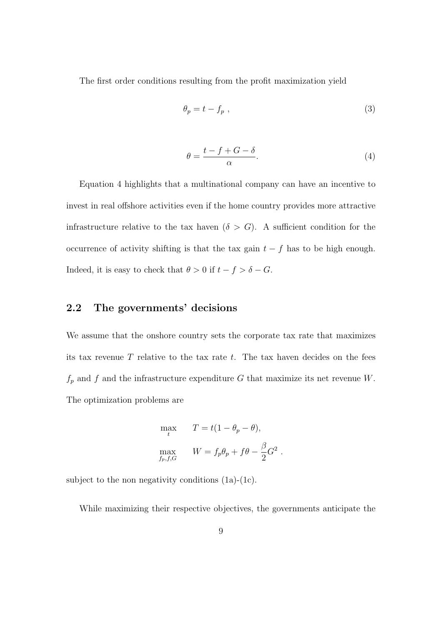The first order conditions resulting from the profit maximization yield

$$
\theta_p = t - f_p \tag{3}
$$

$$
\theta = \frac{t - f + G - \delta}{\alpha}.\tag{4}
$$

Equation 4 highlights that a multinational company can have an incentive to invest in real offshore activities even if the home country provides more attractive infrastructure relative to the tax haven  $(\delta > G)$ . A sufficient condition for the occurrence of activity shifting is that the tax gain  $t - f$  has to be high enough. Indeed, it is easy to check that  $\theta > 0$  if  $t - f > \delta - G$ .

#### 2.2 The governments' decisions

We assume that the onshore country sets the corporate tax rate that maximizes its tax revenue  $T$  relative to the tax rate  $t$ . The tax haven decides on the fees  $f_p$  and  $f$  and the infrastructure expenditure  $G$  that maximize its net revenue  $W.$ The optimization problems are

$$
\max_{t} \qquad T = t(1 - \theta_p - \theta),
$$
  

$$
\max_{f_p, f, G} \qquad W = f_p \theta_p + f \theta - \frac{\beta}{2} G^2.
$$

subject to the non negativity conditions  $(1a)-(1c)$ .

While maximizing their respective objectives, the governments anticipate the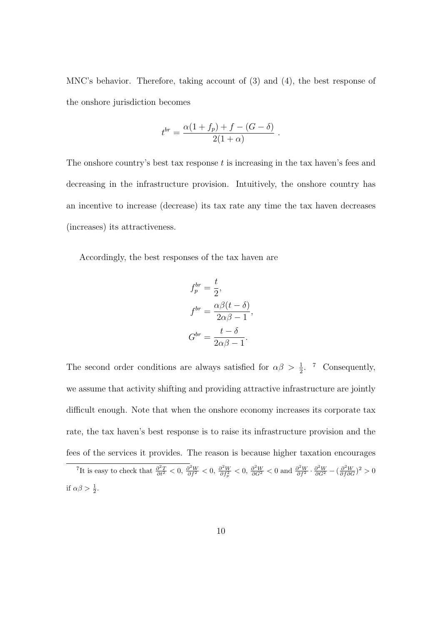MNC's behavior. Therefore, taking account of (3) and (4), the best response of the onshore jurisdiction becomes

$$
t^{br} = \frac{\alpha (1 + f_p) + f - (G - \delta)}{2(1 + \alpha)}.
$$

The onshore country's best tax response  $t$  is increasing in the tax haven's fees and decreasing in the infrastructure provision. Intuitively, the onshore country has an incentive to increase (decrease) its tax rate any time the tax haven decreases (increases) its attractiveness.

Accordingly, the best responses of the tax haven are

$$
f_p^{br} = \frac{t}{2},
$$
  
\n
$$
f^{br} = \frac{\alpha \beta (t - \delta)}{2\alpha \beta - 1},
$$
  
\n
$$
G^{br} = \frac{t - \delta}{2\alpha \beta - 1}.
$$

The second order conditions are always satisfied for  $\alpha\beta > \frac{1}{2}$ . <sup>7</sup> Consequently, we assume that activity shifting and providing attractive infrastructure are jointly difficult enough. Note that when the onshore economy increases its corporate tax rate, the tax haven's best response is to raise its infrastructure provision and the fees of the services it provides. The reason is because higher taxation encourages

<sup>&</sup>lt;sup>7</sup>It is easy to check that  $\frac{\partial^2 T}{\partial t^2} < 0$ ,  $\frac{\partial^2 W}{\partial f^2} < 0$ ,  $\frac{\partial^2 W}{\partial f^2} < 0$ ,  $\frac{\partial^2 W}{\partial G^2} < 0$  and  $\frac{\partial^2 W}{\partial f^2} \cdot \frac{\partial^2 W}{\partial G^2} - (\frac{\partial^2 W}{\partial f \partial G})^2 > 0$ if  $\alpha\beta > \frac{1}{2}$ .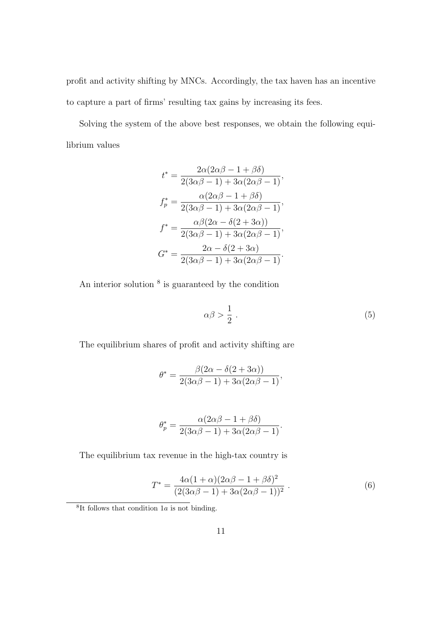profit and activity shifting by MNCs. Accordingly, the tax haven has an incentive to capture a part of firms' resulting tax gains by increasing its fees.

Solving the system of the above best responses, we obtain the following equilibrium values

$$
t^* = \frac{2\alpha(2\alpha\beta - 1 + \beta\delta)}{2(3\alpha\beta - 1) + 3\alpha(2\alpha\beta - 1)},
$$

$$
f_p^* = \frac{\alpha(2\alpha\beta - 1 + \beta\delta)}{2(3\alpha\beta - 1) + 3\alpha(2\alpha\beta - 1)},
$$

$$
f^* = \frac{\alpha\beta(2\alpha - \delta(2 + 3\alpha))}{2(3\alpha\beta - 1) + 3\alpha(2\alpha\beta - 1)},
$$

$$
G^* = \frac{2\alpha - \delta(2 + 3\alpha)}{2(3\alpha\beta - 1) + 3\alpha(2\alpha\beta - 1)}.
$$

An interior solution  $8$  is guaranteed by the condition

$$
\alpha \beta > \frac{1}{2} \,. \tag{5}
$$

The equilibrium shares of profit and activity shifting are

$$
\theta^* = \frac{\beta(2\alpha - \delta(2 + 3\alpha))}{2(3\alpha\beta - 1) + 3\alpha(2\alpha\beta - 1)},
$$

$$
\theta_p^* = \frac{\alpha(2\alpha\beta - 1 + \beta\delta)}{2(3\alpha\beta - 1) + 3\alpha(2\alpha\beta - 1)}.
$$

The equilibrium tax revenue in the high-tax country is

$$
T^* = \frac{4\alpha(1+\alpha)(2\alpha\beta - 1 + \beta\delta)^2}{(2(3\alpha\beta - 1) + 3\alpha(2\alpha\beta - 1))^2}.
$$
 (6)

<sup>&</sup>lt;sup>8</sup>It follows that condition 1a is not binding.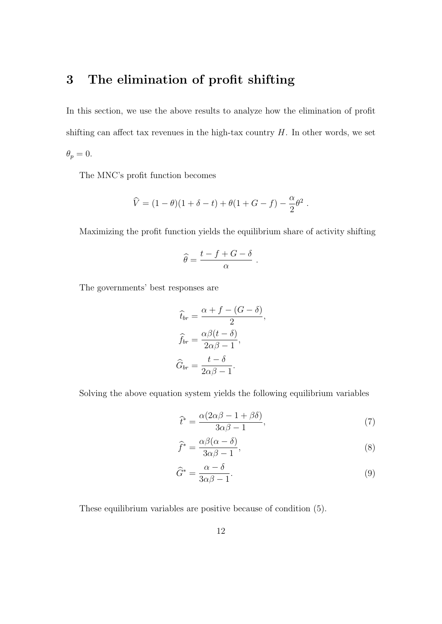# 3 The elimination of profit shifting

In this section, we use the above results to analyze how the elimination of profit shifting can affect tax revenues in the high-tax country  $H$ . In other words, we set  $\theta_p = 0.$ 

The MNC's profit function becomes

$$
\widehat{V} = (1 - \theta)(1 + \delta - t) + \theta(1 + G - f) - \frac{\alpha}{2}\theta^2
$$

Maximizing the profit function yields the equilibrium share of activity shifting

.

$$
\widehat{\theta} = \frac{t - f + G - \delta}{\alpha}
$$

The governments' best responses are

$$
\hat{t}_{br} = \frac{\alpha + f - (G - \delta)}{2},
$$

$$
\hat{f}_{br} = \frac{\alpha \beta (t - \delta)}{2\alpha \beta - 1},
$$

$$
\hat{G}_{br} = \frac{t - \delta}{2\alpha \beta - 1}.
$$

Solving the above equation system yields the following equilibrium variables

$$
\widehat{t}^* = \frac{\alpha(2\alpha\beta - 1 + \beta\delta)}{3\alpha\beta - 1},\tag{7}
$$

.

$$
\widehat{f}^* = \frac{\alpha \beta (\alpha - \delta)}{3\alpha \beta - 1},\tag{8}
$$

$$
\widehat{G}^* = \frac{\alpha - \delta}{3\alpha\beta - 1}.\tag{9}
$$

These equilibrium variables are positive because of condition (5).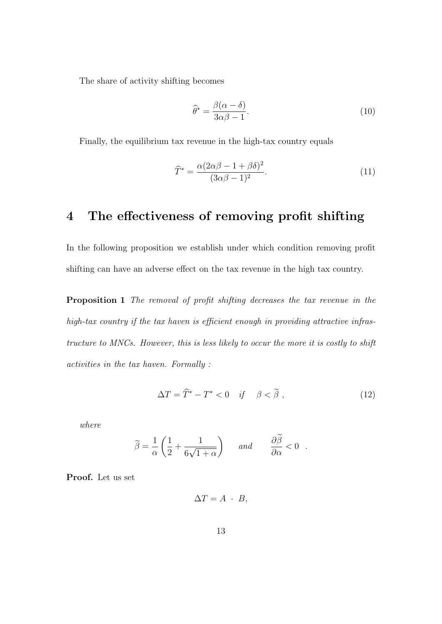The share of activity shifting becomes

$$
\widehat{\theta}^* = \frac{\beta(\alpha - \delta)}{3\alpha\beta - 1}.
$$
\n(10)

Finally, the equilibrium tax revenue in the high-tax country equals

$$
\widehat{T}^* = \frac{\alpha (2\alpha \beta - 1 + \beta \delta)^2}{(3\alpha \beta - 1)^2}.
$$
\n(11)

# 4 The effectiveness of removing profit shifting

In the following proposition we establish under which condition removing profit shifting can have an adverse effect on the tax revenue in the high tax country.

Proposition 1 The removal of profit shifting decreases the tax revenue in the high-tax country if the tax haven is efficient enough in providing attractive infrastructure to MNCs. However, this is less likely to occur the more it is costly to shift activities in the tax haven. Formally :

$$
\Delta T = \widehat{T}^* - T^* < 0 \quad \text{if} \quad \beta < \widetilde{\beta} \tag{12}
$$

where

$$
\widetilde{\beta} = \frac{1}{\alpha} \left( \frac{1}{2} + \frac{1}{6\sqrt{1+\alpha}} \right) \quad \text{and} \quad \frac{\partial \widetilde{\beta}}{\partial \alpha} < 0 \quad .
$$

Proof. Let us set

$$
\Delta T = A \cdot B,
$$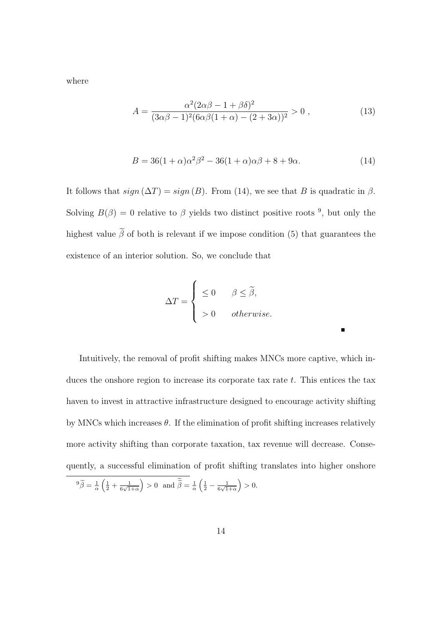where

$$
A = \frac{\alpha^2 (2\alpha\beta - 1 + \beta\delta)^2}{(3\alpha\beta - 1)^2 (6\alpha\beta(1 + \alpha) - (2 + 3\alpha))^2} > 0,
$$
\n(13)

$$
B = 36(1+\alpha)\alpha^2\beta^2 - 36(1+\alpha)\alpha\beta + 8 + 9\alpha.
$$
 (14)

Е

It follows that  $sign(\Delta T) = sign(B)$ . From (14), we see that B is quadratic in  $\beta$ . Solving  $B(\beta) = 0$  relative to  $\beta$  yields two distinct positive roots <sup>9</sup>, but only the highest value  $\tilde{\beta}$  of both is relevant if we impose condition (5) that guarantees the existence of an interior solution. So, we conclude that

$$
\Delta T = \begin{cases} \leq 0 & \beta \leq \tilde{\beta}, \\ > 0 & otherwise. \end{cases}
$$

Intuitively, the removal of profit shifting makes MNCs more captive, which induces the onshore region to increase its corporate tax rate  $t$ . This entices the tax haven to invest in attractive infrastructure designed to encourage activity shifting by MNCs which increases  $\theta$ . If the elimination of profit shifting increases relatively more activity shifting than corporate taxation, tax revenue will decrease. Consequently, a successful elimination of profit shifting translates into higher onshore

$$
{}^9 \widetilde{\beta} = \frac{1}{\alpha} \left( \frac{1}{2} + \frac{1}{6\sqrt{1+\alpha}} \right) > 0 \text{ and } \widetilde{\widetilde{\beta}} = \frac{1}{\alpha} \left( \frac{1}{2} - \frac{1}{6\sqrt{1+\alpha}} \right) > 0.
$$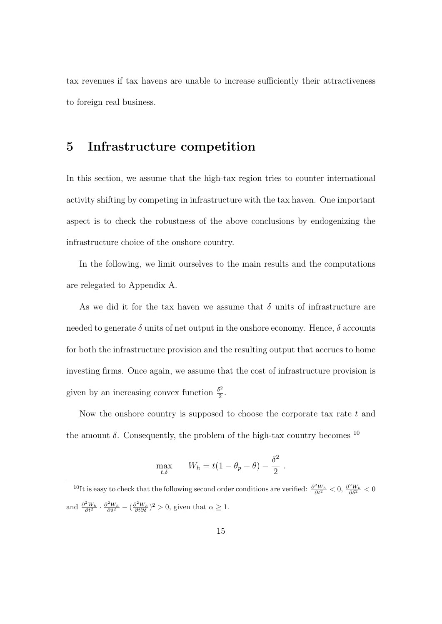tax revenues if tax havens are unable to increase sufficiently their attractiveness to foreign real business.

### 5 Infrastructure competition

In this section, we assume that the high-tax region tries to counter international activity shifting by competing in infrastructure with the tax haven. One important aspect is to check the robustness of the above conclusions by endogenizing the infrastructure choice of the onshore country.

In the following, we limit ourselves to the main results and the computations are relegated to Appendix A.

As we did it for the tax haven we assume that  $\delta$  units of infrastructure are needed to generate  $\delta$  units of net output in the onshore economy. Hence,  $\delta$  accounts for both the infrastructure provision and the resulting output that accrues to home investing firms. Once again, we assume that the cost of infrastructure provision is given by an increasing convex function  $\frac{\delta^2}{2}$  $\frac{1}{2}$ .

Now the onshore country is supposed to choose the corporate tax rate  $t$  and the amount  $\delta$ . Consequently, the problem of the high-tax country becomes  $^{10}$ 

$$
\max_{t,\delta} \qquad W_h = t(1 - \theta_p - \theta) - \frac{\delta^2}{2} \; .
$$

<sup>&</sup>lt;sup>10</sup>It is easy to check that the following second order conditions are verified:  $\frac{\partial^2 W_h}{\partial t^2} < 0$ ,  $\frac{\partial^2 W_h}{\partial \delta^2} < 0$ and  $\frac{\partial^2 W_h}{\partial t^2} \cdot \frac{\partial^2 W_h}{\partial \delta^2} - (\frac{\partial^2 W_h}{\partial t \partial \delta})^2 > 0$ , given that  $\alpha \ge 1$ .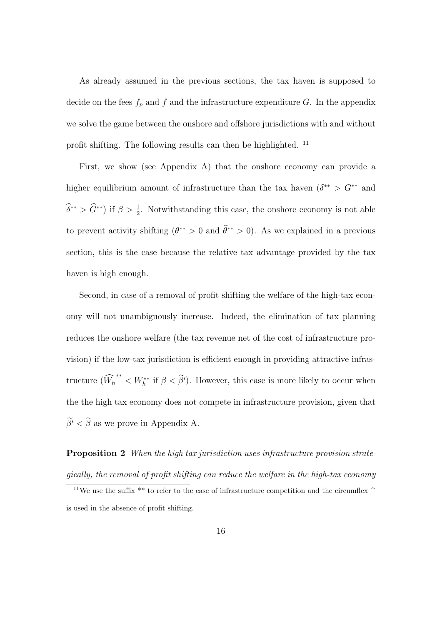As already assumed in the previous sections, the tax haven is supposed to decide on the fees  $f_p$  and  $f$  and the infrastructure expenditure G. In the appendix we solve the game between the onshore and offshore jurisdictions with and without profit shifting. The following results can then be highlighted. <sup>11</sup>

First, we show (see Appendix A) that the onshore economy can provide a higher equilibrium amount of infrastructure than the tax haven  $(\delta^{**} > G^{**}$  and  $\widehat{\delta}^{**} > \widehat{G}^{**}$ ) if  $\beta > \frac{1}{2}$ . Notwithstanding this case, the onshore economy is not able to prevent activity shifting  $(\theta^{**} > 0 \text{ and } \hat{\theta}^{**} > 0)$ . As we explained in a previous section, this is the case because the relative tax advantage provided by the tax haven is high enough.

Second, in case of a removal of profit shifting the welfare of the high-tax economy will not unambiguously increase. Indeed, the elimination of tax planning reduces the onshore welfare (the tax revenue net of the cost of infrastructure provision) if the low-tax jurisdiction is efficient enough in providing attractive infrastructure  $(\widehat{W}_h^{**} < W_h^{**}$  if  $\beta < \widetilde{\beta}')$ . However, this case is more likely to occur when the the high tax economy does not compete in infrastructure provision, given that  $\widetilde{\beta'}<\widetilde{\beta}$  as we prove in Appendix A.

**Proposition 2** When the high tax jurisdiction uses infrastructure provision strategically, the removal of profit shifting can reduce the welfare in the high-tax economy

<sup>&</sup>lt;sup>11</sup>We use the suffix \*\* to refer to the case of infrastructure competition and the circumflex  $\hat{ }$ is used in the absence of profit shifting.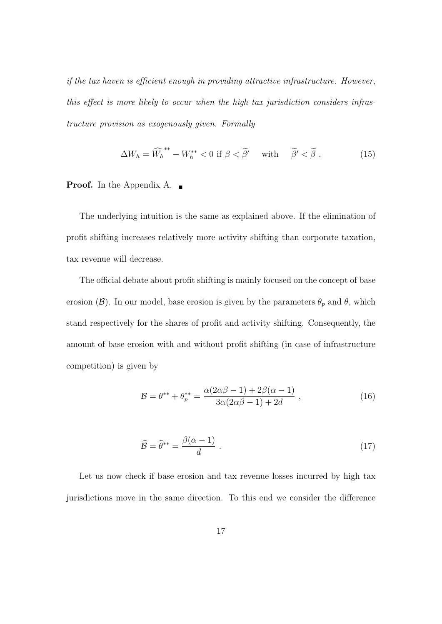if the tax haven is efficient enough in providing attractive infrastructure. However, this effect is more likely to occur when the high tax jurisdiction considers infrastructure provision as exogenously given. Formally

$$
\Delta W_h = \widehat{W}_h^{**} - W_h^{**} < 0 \text{ if } \beta < \widetilde{\beta'} \quad \text{with} \quad \widetilde{\beta'} < \widetilde{\beta} \,. \tag{15}
$$

#### **Proof.** In the Appendix A.

The underlying intuition is the same as explained above. If the elimination of profit shifting increases relatively more activity shifting than corporate taxation, tax revenue will decrease.

The official debate about profit shifting is mainly focused on the concept of base erosion (B). In our model, base erosion is given by the parameters  $\theta_p$  and  $\theta$ , which stand respectively for the shares of profit and activity shifting. Consequently, the amount of base erosion with and without profit shifting (in case of infrastructure competition) is given by

$$
\mathcal{B} = \theta^{**} + \theta_p^{**} = \frac{\alpha(2\alpha\beta - 1) + 2\beta(\alpha - 1)}{3\alpha(2\alpha\beta - 1) + 2d} ,
$$
 (16)

$$
\widehat{\mathcal{B}} = \widehat{\theta}^{**} = \frac{\beta(\alpha - 1)}{d} \ . \tag{17}
$$

Let us now check if base erosion and tax revenue losses incurred by high tax jurisdictions move in the same direction. To this end we consider the difference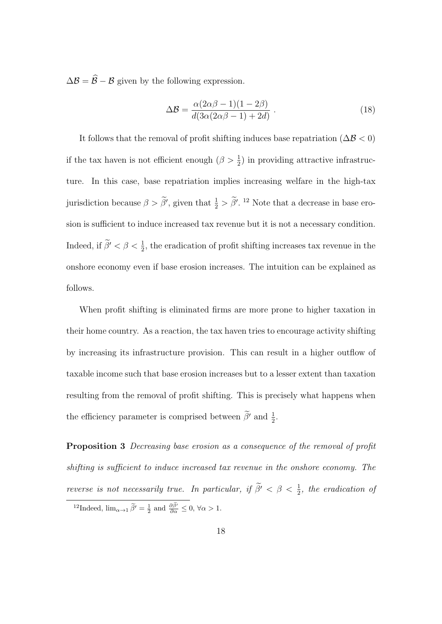$\Delta \mathcal{B} = \widehat{\mathcal{B}} - \mathcal{B}$  given by the following expression.

$$
\Delta \mathcal{B} = \frac{\alpha (2\alpha \beta - 1)(1 - 2\beta)}{d(3\alpha (2\alpha \beta - 1) + 2d)}.
$$
\n(18)

It follows that the removal of profit shifting induces base repatriation ( $\Delta \mathcal{B} < 0$ ) if the tax haven is not efficient enough  $(\beta > \frac{1}{2})$  in providing attractive infrastructure. In this case, base repatriation implies increasing welfare in the high-tax jurisdiction because  $\beta > \beta'$ , given that  $\frac{1}{2} > \beta'$ . <sup>12</sup> Note that a decrease in base erosion is sufficient to induce increased tax revenue but it is not a necessary condition. Indeed, if  $\tilde{\beta}' < \beta < \frac{1}{2}$ , the eradication of profit shifting increases tax revenue in the onshore economy even if base erosion increases. The intuition can be explained as follows.

When profit shifting is eliminated firms are more prone to higher taxation in their home country. As a reaction, the tax haven tries to encourage activity shifting by increasing its infrastructure provision. This can result in a higher outflow of taxable income such that base erosion increases but to a lesser extent than taxation resulting from the removal of profit shifting. This is precisely what happens when the efficiency parameter is comprised between  $\tilde{\beta}'$  and  $\frac{1}{2}$ .

Proposition 3 Decreasing base erosion as a consequence of the removal of profit shifting is sufficient to induce increased tax revenue in the onshore economy. The reverse is not necessarily true. In particular, if  $\tilde{\beta}' < \beta < \frac{1}{2}$ , the eradication of

<sup>&</sup>lt;sup>12</sup>Indeed,  $\lim_{\alpha \to 1} \tilde{\beta}' = \frac{1}{2}$  and  $\frac{\partial \tilde{\beta}'}{\partial \alpha} \leq 0$ ,  $\forall \alpha > 1$ .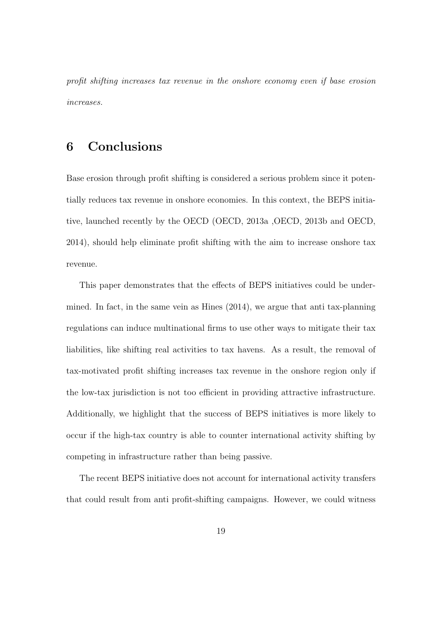profit shifting increases tax revenue in the onshore economy even if base erosion increases.

# 6 Conclusions

Base erosion through profit shifting is considered a serious problem since it potentially reduces tax revenue in onshore economies. In this context, the BEPS initiative, launched recently by the OECD (OECD, 2013a ,OECD, 2013b and OECD, 2014), should help eliminate profit shifting with the aim to increase onshore tax revenue.

This paper demonstrates that the effects of BEPS initiatives could be undermined. In fact, in the same vein as Hines (2014), we argue that anti tax-planning regulations can induce multinational firms to use other ways to mitigate their tax liabilities, like shifting real activities to tax havens. As a result, the removal of tax-motivated profit shifting increases tax revenue in the onshore region only if the low-tax jurisdiction is not too efficient in providing attractive infrastructure. Additionally, we highlight that the success of BEPS initiatives is more likely to occur if the high-tax country is able to counter international activity shifting by competing in infrastructure rather than being passive.

The recent BEPS initiative does not account for international activity transfers that could result from anti profit-shifting campaigns. However, we could witness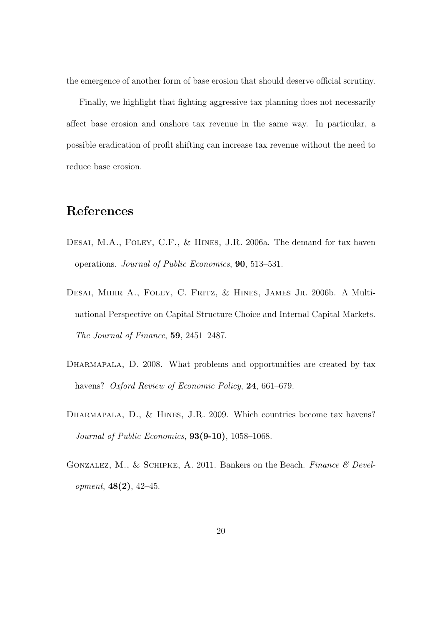the emergence of another form of base erosion that should deserve official scrutiny.

Finally, we highlight that fighting aggressive tax planning does not necessarily affect base erosion and onshore tax revenue in the same way. In particular, a possible eradication of profit shifting can increase tax revenue without the need to reduce base erosion.

# References

- DESAI, M.A., FOLEY, C.F., & HINES, J.R. 2006a. The demand for tax haven operations. Journal of Public Economics, 90, 513–531.
- Desai, Mihir A., Foley, C. Fritz, & Hines, James Jr. 2006b. A Multinational Perspective on Capital Structure Choice and Internal Capital Markets. The Journal of Finance, 59, 2451–2487.
- DHARMAPALA, D. 2008. What problems and opportunities are created by tax havens? Oxford Review of Economic Policy, 24, 661–679.
- DHARMAPALA, D., & HINES, J.R. 2009. Which countries become tax havens? Journal of Public Economics,  $93(9-10)$ ,  $1058-1068$ .
- GONZALEZ, M., & SCHIPKE, A. 2011. Bankers on the Beach. Finance  $\mathcal B$  Development, 48(2), 42–45.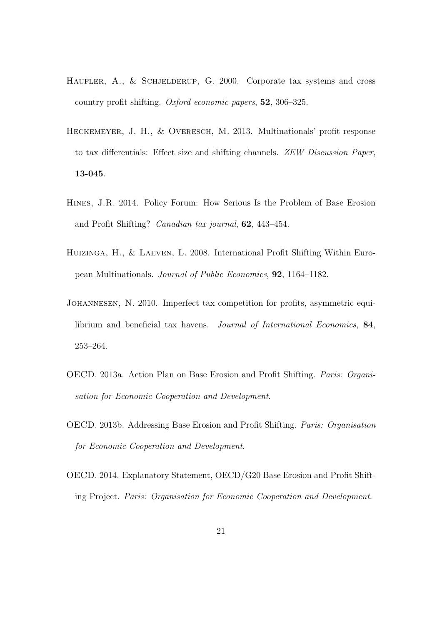- HAUFLER, A., & SCHJELDERUP, G. 2000. Corporate tax systems and cross country profit shifting. Oxford economic papers, 52, 306–325.
- Heckemeyer, J. H., & Overesch, M. 2013. Multinationals' profit response to tax differentials: Effect size and shifting channels. ZEW Discussion Paper, 13-045.
- Hines, J.R. 2014. Policy Forum: How Serious Is the Problem of Base Erosion and Profit Shifting? Canadian tax journal, 62, 443–454.
- Huizinga, H., & Laeven, L. 2008. International Profit Shifting Within European Multinationals. Journal of Public Economics, 92, 1164–1182.
- Johannesen, N. 2010. Imperfect tax competition for profits, asymmetric equilibrium and beneficial tax havens. Journal of International Economics, 84, 253–264.
- OECD. 2013a. Action Plan on Base Erosion and Profit Shifting. Paris: Organisation for Economic Cooperation and Development.
- OECD. 2013b. Addressing Base Erosion and Profit Shifting. Paris: Organisation for Economic Cooperation and Development.
- OECD. 2014. Explanatory Statement, OECD/G20 Base Erosion and Profit Shifting Project. Paris: Organisation for Economic Cooperation and Development.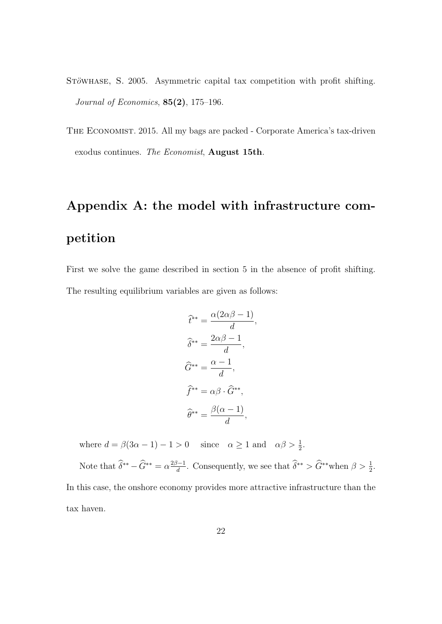- STÖWHASE, S. 2005. Asymmetric capital tax competition with profit shifting. Journal of Economics,  $85(2)$ , 175-196.
- The Economist. 2015. All my bags are packed Corporate America's tax-driven exodus continues. The Economist, August 15th.

# Appendix A: the model with infrastructure competition

First we solve the game described in section 5 in the absence of profit shifting. The resulting equilibrium variables are given as follows:

$$
\hat{t}^{**} = \frac{\alpha(2\alpha\beta - 1)}{d},
$$

$$
\hat{\delta}^{**} = \frac{2\alpha\beta - 1}{d},
$$

$$
\hat{G}^{**} = \frac{\alpha - 1}{d},
$$

$$
\hat{f}^{**} = \alpha\beta \cdot \hat{G}^{**},
$$

$$
\hat{\theta}^{**} = \frac{\beta(\alpha - 1)}{d},
$$

where  $d = \beta(3\alpha - 1) - 1 > 0$  since  $\alpha \ge 1$  and  $\alpha\beta > \frac{1}{2}$ .

Note that  $\widehat{\delta}^{**} - \widehat{G}^{**} = \alpha \frac{2\beta - 1}{d}$  $\frac{d^{3}-1}{d}$ . Consequently, we see that  $\widehat{\delta}^{**} > \widehat{G}^{**}$  when  $\beta > \frac{1}{2}$ . In this case, the onshore economy provides more attractive infrastructure than the tax haven.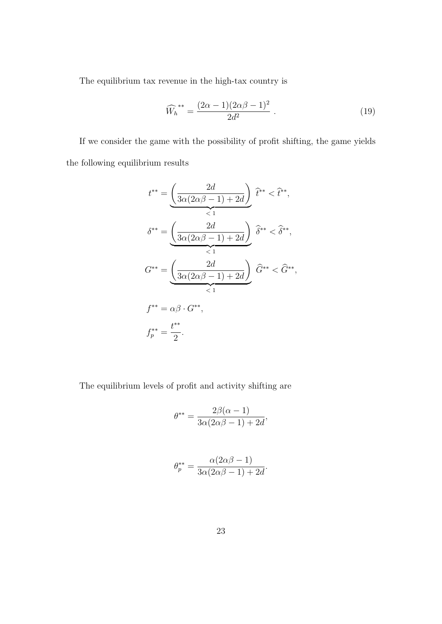The equilibrium tax revenue in the high-tax country is

$$
\widehat{W}_h^{**} = \frac{(2\alpha - 1)(2\alpha\beta - 1)^2}{2d^2} \,. \tag{19}
$$

If we consider the game with the possibility of profit shifting, the game yields the following equilibrium results

$$
t^{**} = \underbrace{\left(\frac{2d}{3\alpha(2\alpha\beta - 1) + 2d}\right)}_{< 1} \hat{t}^{**} < \hat{t}^{**},
$$
\n
$$
\delta^{**} = \underbrace{\left(\frac{2d}{3\alpha(2\alpha\beta - 1) + 2d}\right)}_{< 1} \hat{\delta}^{**} < \hat{\delta}^{**},
$$
\n
$$
G^{**} = \underbrace{\left(\frac{2d}{3\alpha(2\alpha\beta - 1) + 2d}\right)}_{< 1} \hat{G}^{**} < \hat{G}^{**},
$$
\n
$$
f^{**} = \alpha\beta \cdot G^{**},
$$
\n
$$
f_p^{**} = \frac{t^{**}}{2}.
$$

The equilibrium levels of profit and activity shifting are

2

$$
\theta^{**} = \frac{2\beta(\alpha - 1)}{3\alpha(2\alpha\beta - 1) + 2d},
$$

$$
\theta_p^{**} = \frac{\alpha(2\alpha\beta - 1)}{3\alpha(2\alpha\beta - 1) + 2d}.
$$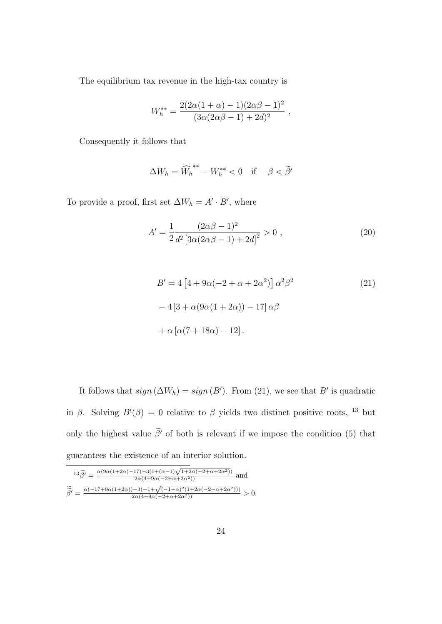The equilibrium tax revenue in the high-tax country is

$$
W_h^{**} = \frac{2(2\alpha(1+\alpha)-1)(2\alpha\beta-1)^2}{(3\alpha(2\alpha\beta-1)+2d)^2} ,
$$

Consequently it follows that

$$
\Delta W_h = \widehat{W}_h^{**} - W_h^{**} < 0 \quad \text{if} \quad \beta < \widetilde{\beta}'
$$

To provide a proof, first set  $\Delta W_h = A' \cdot B'$ , where

$$
A' = \frac{1}{2} \frac{(2\alpha\beta - 1)^2}{d^2 \left[3\alpha(2\alpha\beta - 1) + 2d\right]^2} > 0,
$$
\n(20)

$$
B' = 4\left[4 + 9\alpha(-2 + \alpha + 2\alpha^2)\right]\alpha^2\beta^2
$$
\n
$$
-4\left[3 + \alpha(9\alpha(1 + 2\alpha)) - 17\right]\alpha\beta
$$
\n
$$
+ \alpha\left[\alpha(7 + 18\alpha) - 12\right].
$$
\n(21)

It follows that  $sign(\Delta W_h) = sign(B')$ . From (21), we see that B' is quadratic in β. Solving  $B'(\beta) = 0$  relative to β yields two distinct positive roots, <sup>13</sup> but only the highest value  $\tilde{\beta}'$  of both is relevant if we impose the condition (5) that guarantees the existence of an interior solution.

$$
\overline{^{13}\widetilde{\beta'}} = \frac{\alpha(9\alpha(1+2\alpha)-17)+3(1+(\alpha-1)\sqrt{1+2\alpha(-2+\alpha+2\alpha^2)})}{2\alpha(4+9\alpha(-2+\alpha+2\alpha^2))} \text{ and }
$$
  

$$
\widetilde{\widetilde{\beta'}} = \frac{\alpha(-17+9\alpha(1+2\alpha))-3(-1+\sqrt{(-1+\alpha)^2(1+2\alpha(-2+\alpha+2\alpha^2))})}{2\alpha(4+9\alpha(-2+\alpha+2\alpha^2))} > 0.
$$